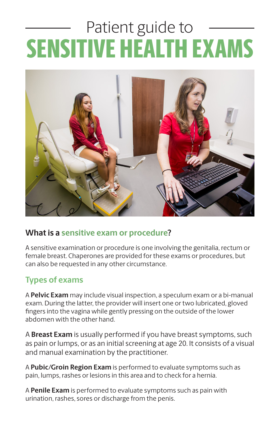# Patient guide to SENSITIVE HEALTH EXAMS



#### **What is a sensitive exam or procedure?**

A sensitive examination or procedure is one involving the genitalia, rectum or female breast. Chaperones are provided for these exams or procedures, but can also be requested in any other circumstance.

#### **Types of exams**

A **Pelvic Exam** may include visual inspection, a speculum exam or a bi-manual exam. During the latter, the provider will insert one or two lubricated, gloved fingers into the vagina while gently pressing on the outside of the lower abdomen with the other hand.

A **Breast Exam** is usually performed if you have breast symptoms, such as pain or lumps, or as an initial screening at age 20. It consists of a visual and manual examination by the practitioner.

A **Pubic/Groin Region Exam** is performed to evaluate symptoms such as pain, lumps, rashes or lesions in this area and to check for a hernia.

A **Penile Exam** is performed to evaluate symptoms such as pain with urination, rashes, sores or discharge from the penis.